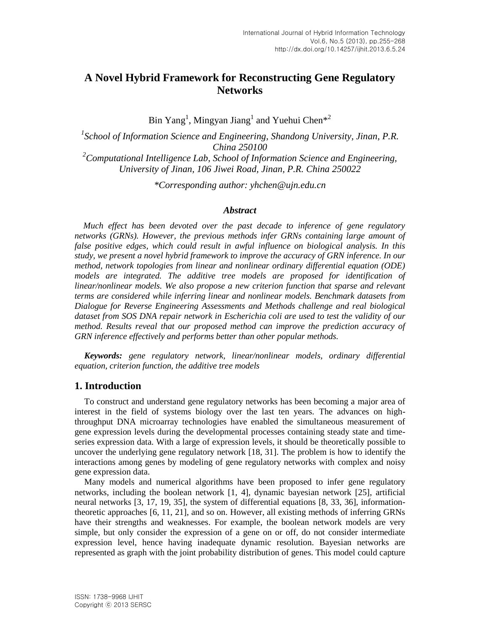# **A Novel Hybrid Framework for Reconstructing Gene Regulatory Networks**

Bin Yang<sup>1</sup>, Mingyan Jiang<sup>1</sup> and Yuehui Chen<sup>\*2</sup>

*1 School of Information Science and Engineering, Shandong University, Jinan, P.R. China 250100*

*<sup>2</sup>Computational Intelligence Lab, School of Information Science and Engineering, University of Jinan, 106 Jiwei Road, Jinan, P.R. China 250022*

*\*Corresponding author: yhchen@ujn.edu.cn*

## *Abstract*

*Much effect has been devoted over the past decade to inference of gene regulatory networks (GRNs). However, the previous methods infer GRNs containing large amount of false positive edges, which could result in awful influence on biological analysis. In this study, we present a novel hybrid framework to improve the accuracy of GRN inference. In our method, network topologies from linear and nonlinear ordinary differential equation (ODE) models are integrated. The additive tree models are proposed for identification of linear/nonlinear models. We also propose a new criterion function that sparse and relevant terms are considered while inferring linear and nonlinear models. Benchmark datasets from Dialogue for Reverse Engineering Assessments and Methods challenge and real biological dataset from SOS DNA repair network in Escherichia coli are used to test the validity of our method. Results reveal that our proposed method can improve the prediction accuracy of GRN inference effectively and performs better than other popular methods.*

*Keywords: gene regulatory network, linear/nonlinear models, ordinary differential equation, criterion function, the additive tree models*

## **1. Introduction**

To construct and understand gene regulatory networks has been becoming a major area of interest in the field of systems biology over the last ten years. The advances on highthroughput DNA microarray technologies have enabled the simultaneous measurement of gene expression levels during the developmental processes containing steady state and timeseries expression data. With a large of expression levels, it should be theoretically possible to uncover the underlying gene regulatory network [18, 31]. The problem is how to identify the interactions among genes by modeling of gene regulatory networks with complex and noisy gene expression data.

Many models and numerical algorithms have been proposed to infer gene regulatory networks, including the boolean network [1, 4], dynamic bayesian network [25], artificial neural networks [3, 17, 19, 35], the system of differential equations [8, 33, 36], informationtheoretic approaches [6, 11, 21], and so on. However, all existing methods of inferring GRNs have their strengths and weaknesses. For example, the boolean network models are very simple, but only consider the expression of a gene on or off, do not consider intermediate expression level, hence having inadequate dynamic resolution. Bayesian networks are represented as graph with the joint probability distribution of genes. This model could capture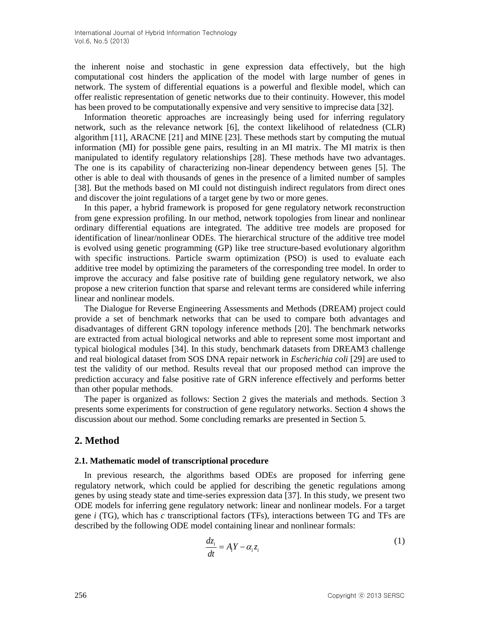the inherent noise and stochastic in gene expression data effectively, but the high computational cost hinders the application of the model with large number of genes in network. The system of differential equations is a powerful and flexible model, which can offer realistic representation of genetic networks due to their continuity. However, this model has been proved to be computationally expensive and very sensitive to imprecise data [32].

Information theoretic approaches are increasingly being used for inferring regulatory network, such as the relevance network [6], the context likelihood of relatedness (CLR) algorithm [11], ARACNE [21] and MINE [23]. These methods start by computing the mutual information (MI) for possible gene pairs, resulting in an MI matrix. The MI matrix is then manipulated to identify regulatory relationships [28]. These methods have two advantages. The one is its capability of characterizing non-linear dependency between genes [5]. The other is able to deal with thousands of genes in the presence of a limited number of samples [38]. But the methods based on MI could not distinguish indirect regulators from direct ones and discover the joint regulations of a target gene by two or more genes.

In this paper, a hybrid framework is proposed for gene regulatory network reconstruction from gene expression profiling. In our method, network topologies from linear and nonlinear ordinary differential equations are integrated. The additive tree models are proposed for identification of linear/nonlinear ODEs. The hierarchical structure of the additive tree model is evolved using genetic programming (GP) like tree structure-based evolutionary algorithm with specific instructions. Particle swarm optimization (PSO) is used to evaluate each additive tree model by optimizing the parameters of the corresponding tree model. In order to improve the accuracy and false positive rate of building gene regulatory network, we also propose a new criterion function that sparse and relevant terms are considered while inferring linear and nonlinear models.

The Dialogue for Reverse Engineering Assessments and Methods (DREAM) project could provide a set of benchmark networks that can be used to compare both advantages and disadvantages of different GRN topology inference methods [20]. The benchmark networks are extracted from actual biological networks and able to represent some most important and typical biological modules [34]. In this study, benchmark datasets from DREAM3 challenge and real biological dataset from SOS DNA repair network in *Escherichia coli* [29] are used to test the validity of our method. Results reveal that our proposed method can improve the prediction accuracy and false positive rate of GRN inference effectively and performs better than other popular methods.

The paper is organized as follows: Section 2 gives the materials and methods. Section 3 presents some experiments for construction of gene regulatory networks. Section 4 shows the discussion about our method. Some concluding remarks are presented in Section 5.

## **2. Method**

#### **2.1. Mathematic model of transcriptional procedure**

In previous research, the algorithms based ODEs are proposed for inferring gene regulatory network, which could be applied for describing the genetic regulations among genes by using steady state and time-series expression data [37]. In this study, we present two ODE models for inferring gene regulatory network: linear and nonlinear models. For a target gene *i* (TG), which has *c* transcriptional factors (TFs), interactions between TG and TFs are described by the following ODE model containing linear and nonlinear formals:

$$
\frac{dz_i}{dt} = A_i Y - \alpha_i z_i \tag{1}
$$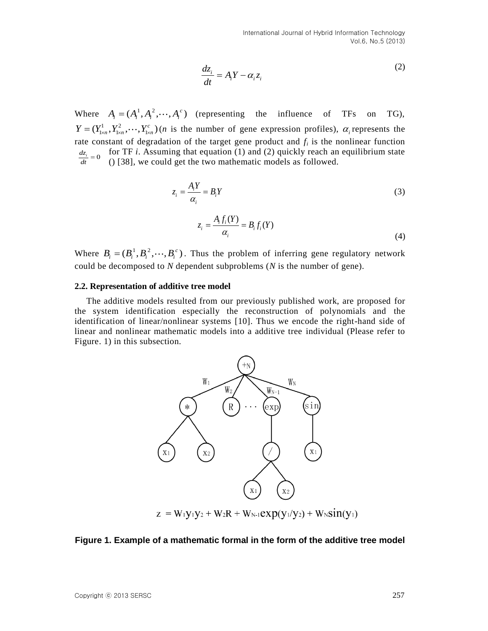$$
\frac{dz_i}{dt} = A_i Y - \alpha_i z_i \tag{2}
$$

Where  $A_i = (A_i^1, A_i^2, \dots, A_i^c)$  (representing the influence of TFs on TG),  $Y = (Y_{1\times n}^1, Y_{1\times n}^2, \cdots, Y_{1\times n}^c)$  (*n* is the number of gene expression profiles),  $\alpha_i$  represents the rate constant of degradation of the target gene product and *f<sup>i</sup>* is the nonlinear function for TF *i*. Assuming that equation (1) and (2) quickly reach an equilibrium state  $\frac{dz_i}{dt} = 0$  for TF *i*. Assuming that equation (1) and (2) quickly reach an (1)  $\frac{dZ_i}{dt} = 0$  (1) [38], we could get the two mathematic models as followed.  $\frac{dZ_i}{dt} =$ 

$$
z_i = \frac{A_i Y}{\alpha_i} = B_i Y \tag{3}
$$

$$
z_i = \frac{A_i f_i(Y)}{\alpha_i} = B_i f_i(Y)
$$
\n(4)

Where  $B_i = (B_i^1, B_i^2, \dots, B_i^c)$ . Thus the problem of inferring gene regulatory network could be decomposed to *N* dependent subproblems (*N* is the number of gene).

#### **2.2. Representation of additive tree model**

The additive models resulted from our previously published work, are proposed for the system identification especially the reconstruction of polynomials and the identification of linear/nonlinear systems [10]. Thus we encode the right-hand side of linear and nonlinear mathematic models into a additive tree individual (Please refer to Figure. 1) in this subsection.



**Figure 1. Example of a mathematic formal in the form of the additive tree model**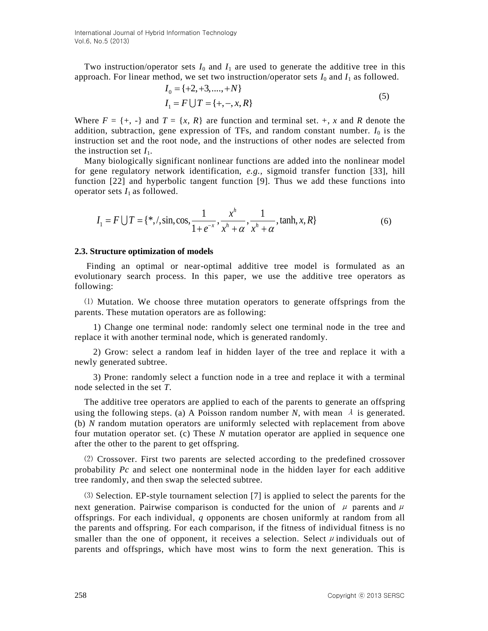Two instruction/operator sets  $I_0$  and  $I_1$  are used to generate the additive tree in this approach. For linear method, we set two instruction/operator sets  $I_0$  and  $I_1$  as followed.<br> $I_0 = \{+2, +3, ..., +N\}$ 

$$
I_0 = \{+2, +3, \dots, +N\}
$$
  
\n
$$
I_1 = F \cup T = \{+, -, x, R\}
$$
\n(5)

Where  $F = \{+, -\}$  and  $T = \{x, R\}$  are function and terminal set.  $+, x$  and R denote the addition, subtraction, gene expression of TFs, and random constant number.  $I_0$  is the instruction set and the root node, and the instructions of other nodes are selected from the instruction set  $I_1$ .

Many biologically significant nonlinear functions are added into the nonlinear model for gene regulatory network identification, *e.g.*, sigmoid transfer function [33], hill function [22] and hyperbolic tangent function [9]. Thus we add these functions into

operator sets 
$$
I_1
$$
 as followed.  
\n
$$
I_1 = F \bigcup T = \{ *, \text{ is, } \cos, \frac{1}{1 + e^{-x}}, \frac{x^h}{x^h + \alpha}, \frac{1}{x^h + \alpha}, \tanh, x, R \}
$$
\n(6)

#### **2.3. Structure optimization of models**

Finding an optimal or near-optimal additive tree model is formulated as an evolutionary search process. In this paper, we use the additive tree operators as following:

⑴ Mutation. We choose three mutation operators to generate offsprings from the parents. These mutation operators are as following:

1) Change one terminal node: randomly select one terminal node in the tree and replace it with another terminal node, which is generated randomly.

2) Grow: select a random leaf in hidden layer of the tree and replace it with a newly generated subtree.

3) Prone: randomly select a function node in a tree and replace it with a terminal node selected in the set *T*.

The additive tree operators are applied to each of the parents to generate an offspring using the following steps. (a) A Poisson random number *N*, with mean  $\lambda$  is generated. (b) *N* random mutation operators are uniformly selected with replacement from above four mutation operator set. (c) These *N* mutation operator are applied in sequence one after the other to the parent to get offspring.

⑵ Crossover. First two parents are selected according to the predefined crossover probability *Pc* and select one nonterminal node in the hidden layer for each additive tree randomly, and then swap the selected subtree.

⑶ Selection. EP-style tournament selection [7] is applied to select the parents for the next generation. Pairwise comparison is conducted for the union of  $\mu$  parents and  $\mu$ offsprings. For each individual, *q* opponents are chosen uniformly at random from all the parents and offspring. For each comparison, if the fitness of individual fitness is no smaller than the one of opponent, it receives a selection. Select  $\mu$  individuals out of parents and offsprings, which have most wins to form the next generation. This is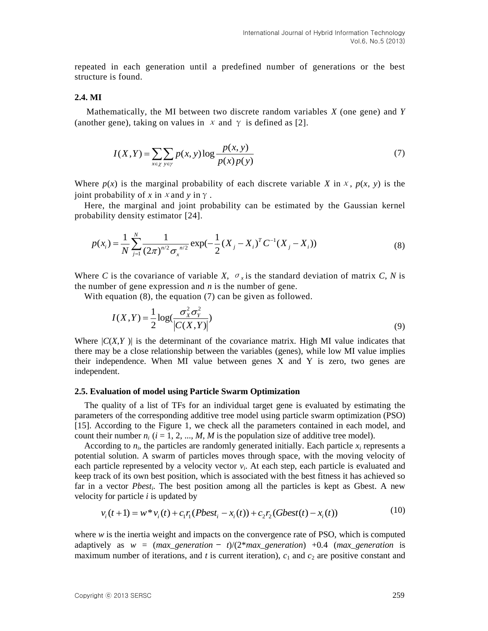repeated in each generation until a predefined number of generations or the best structure is found.

### **2.4. MI**

Mathematically, the MI between two discrete random variables *X* (one gene) and *Y*  (another gene), taking on values in  $x$  and  $\gamma$  is defined as [2].

$$
I(X,Y) = \sum_{x \in \chi} \sum_{y \in \gamma} p(x, y) \log \frac{p(x, y)}{p(x)p(y)}
$$
(7)

Where  $p(x)$  is the marginal probability of each discrete variable *X* in *x*,  $p(x, y)$  is the joint probability of *x* in *x* and *y* in  $\gamma$ .

Here, the marginal and joint probability can be estimated by the Gaussian kernel probability density estimator [24].

ability density estimator [24].  
\n
$$
p(x_i) = \frac{1}{N} \sum_{j=1}^{N} \frac{1}{(2\pi)^{n/2} \sigma_x^{n/2}} \exp(-\frac{1}{2} (X_j - X_i)^T C^{-1} (X_j - X_i))
$$
\n(8)

Where *C* is the covariance of variable *X*,  $\sigma_x$  is the standard deviation of matrix *C*, *N* is the number of gene expression and *n* is the number of gene.

With equation (8), the equation (7) can be given as followed.

$$
I(X,Y) = \frac{1}{2} \log \left( \frac{\sigma_X^2 \sigma_Y^2}{|C(X,Y)|} \right)
$$
\n(9)

Where  $|C(X,Y)|$  is the determinant of the covariance matrix. High MI value indicates that there may be a close relationship between the variables (genes), while low MI value implies their independence. When MI value between genes  $X$  and  $Y$  is zero, two genes are independent.

#### **2.5. Evaluation of model using Particle Swarm Optimization**

 The quality of a list of TFs for an individual target gene is evaluated by estimating the parameters of the corresponding additive tree model using particle swarm optimization (PSO) [15]. According to the Figure 1, we check all the parameters contained in each model, and count their number  $n_i$  ( $i = 1, 2, ..., M$ , *M* is the population size of additive tree model).

According to  $n_i$ , the particles are randomly generated initially. Each particle  $x_i$  represents a potential solution. A swarm of particles moves through space, with the moving velocity of each particle represented by a velocity vector  $v_i$ . At each step, each particle is evaluated and keep track of its own best position, which is associated with the best fitness it has achieved so far in a vector *Pbest<sub>i</sub>*. The best position among all the particles is kept as Gbest. A new velocity for particle *i* is updated by  $v_i(t+1) = w * v_i(t) + c_1 r_i (Pbest_i - x_i(t)) + c_2 r_2 (Gbest(t) - x_i(t))$  (10) velocity for particle *i* is updated by

$$
v_i(t+1) = w^* v_i(t) + c_1 r_i (Pbest_i - x_i(t)) + c_2 r_2 (Gbest(t) - x_i(t))
$$
\n(10)

where  $w$  is the inertia weight and impacts on the convergence rate of PSO, which is computed adaptively as  $w = (max\_generation - t)/(2*max\_generation) +0.4$  (*max\_generation*) is maximum number of iterations, and  $t$  is current iteration),  $c_1$  and  $c_2$  are positive constant and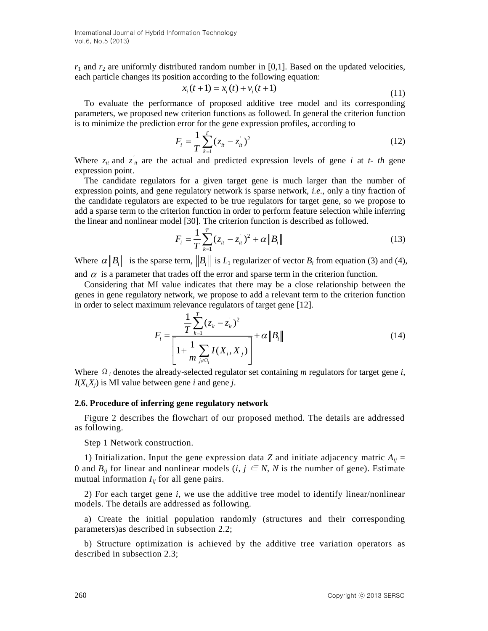$r_1$  and  $r_2$  are uniformly distributed random number in [0,1]. Based on the updated velocities, each particle changes its position according to the following equation:<br> $x_i(t+1) = x_i(t) + v_i(t+1)$ 

$$
c_i(t+1) = x_i(t) + v_i(t+1)
$$
\n(11)

To evaluate the performance of proposed additive tree model and its corresponding parameters, we proposed new criterion functions as followed. In general the criterion function is to minimize the prediction error for the gene expression profiles, according to

$$
F_i = \frac{1}{T} \sum_{k=1}^{T} (z_{it} - z_{it})^2
$$
 (12)

Where  $z_{it}$  and  $z_{it}$  are the actual and predicted expression levels of gene *i* at *t- th* gene expression point.

The candidate regulators for a given target gene is much larger than the number of expression points, and gene regulatory network is sparse network, *i.e.*, only a tiny fraction of the candidate regulators are expected to be true regulators for target gene, so we propose to add a sparse term to the criterion function in order to perform feature selection while inferring the linear and nonlinear model [30]. The criterion function is described as followed.

$$
F_i = \frac{1}{T} \sum_{k=1}^{T} (z_{it} - z_{it})^2 + \alpha \|B_i\|
$$
 (13)

Where  $\alpha \|B_i\|$  is the sparse term,  $\|B_i\|$  is  $L_1$  regularizer of vector  $B_i$  from equation (3) and (4), and  $\alpha$  is a parameter that trades off the error and sparse term in the criterion function.

Considering that MI value indicates that there may be a close relationship between the genes in gene regulatory network, we propose to add a relevant term to the criterion function in order to select maximum relevance regulators of target gene [12].

$$
F_{i} = \frac{\frac{1}{T} \sum_{k=1}^{T} (z_{it} - z_{it})^{2}}{\left[1 + \frac{1}{m} \sum_{j \in \Omega_{i}} I(X_{i}, X_{j})\right]} + \alpha \|B_{i}\|
$$
(14)

Where  $\Omega_i$  denotes the already-selected regulator set containing *m* regulators for target gene *i*,  $I(X_i, X_j)$  is MI value between gene *i* and gene *j*.

#### **2.6. Procedure of inferring gene regulatory network**

Figure 2 describes the flowchart of our proposed method. The details are addressed as following.

Step 1 Network construction.

1) Initialization. Input the gene expression data *Z* and initiate adjacency matric  $A_{ij}$  = 0 and  $B_{ij}$  for linear and nonlinear models (*i*,  $j \in N$ , *N* is the number of gene). Estimate mutual information  $I_{ij}$  for all gene pairs.

2) For each target gene *i*, we use the additive tree model to identify linear/nonlinear models. The details are addressed as following.

a) Create the initial population randomly (structures and their corresponding parameters)as described in subsection 2.2;

b) Structure optimization is achieved by the additive tree variation operators as described in subsection 2.3;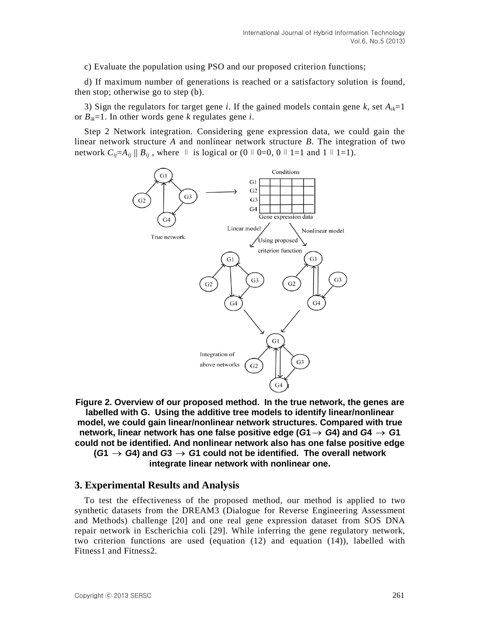c) Evaluate the population using PSO and our proposed criterion functions;

d) If maximum number of generations is reached or a satisfactory solution is found, then stop; otherwise go to step (b).

3) Sign the regulators for target gene *i*. If the gained models contain gene *k*, set  $A_{ik}=1$ or  $B_{ik}$ =1. In other words gene *k* regulates gene *i*.

Step 2 Network integration. Considering gene expression data, we could gain the linear network structure *A* and nonlinear network structure *B*. The integration of two network  $C_{ij} = A_{ij} || B_{ij}$ , where ∥ is logical or (0∥0=0, 0∥1=1 and 1∥1=1).



**Figure 2. Overview of our proposed method. In the true network, the genes are labelled with G. Using the additive tree models to identify linear/nonlinear model, we could gain linear/nonlinear network structures. Compared with true network, linear network has one false positive edge (** $G$ **1**  $\rightarrow$  $G$ **4) and**  $G$ **4**  $\rightarrow$  $G$ **1 could not be identified. And nonlinear network also has one false positive edge**   $(G1 \rightarrow G4)$  and  $G3 \rightarrow G1$  could not be identified. The overall network **integrate linear network with nonlinear one.**

#### **3. Experimental Results and Analysis**

To test the effectiveness of the proposed method, our method is applied to two synthetic datasets from the DREAM3 (Dialogue for Reverse Engineering Assessment and Methods) challenge [20] and one real gene expression dataset from SOS DNA repair network in Escherichia coli [29]. While inferring the gene regulatory network, two criterion functions are used (equation (12) and equation (14)), labelled with Fitness1 and Fitness2.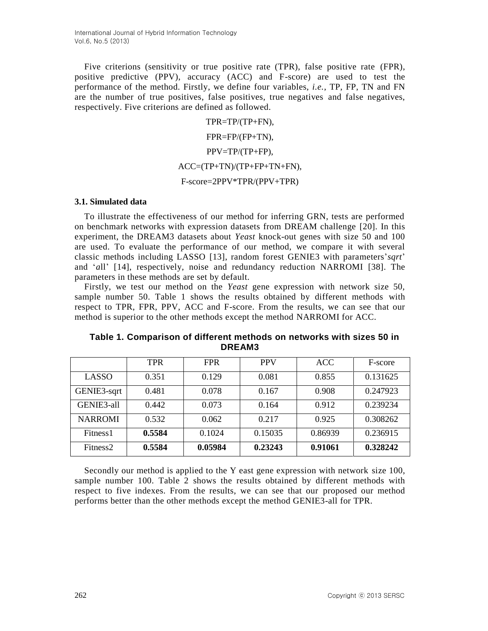Five criterions (sensitivity or true positive rate (TPR), false positive rate (FPR), positive predictive (PPV), accuracy (ACC) and F-score) are used to test the performance of the method. Firstly, we define four variables, *i.e.*, TP, FP, TN and FN are the number of true positives, false positives, true negatives and false negatives, respectively. Five criterions are defined as followed.

> TPR=TP/(TP+FN), FPR=FP/(FP+TN), PPV=TP/(TP+FP), ACC=(TP+TN)/(TP+FP+TN+FN), F-score=2PPV\*TPR/(PPV+TPR)

### **3.1. Simulated data**

To illustrate the effectiveness of our method for inferring GRN, tests are performed on benchmark networks with expression datasets from DREAM challenge [20]. In this experiment, the DREAM3 datasets about *Yeast* knock-out genes with size 50 and 100 are used. To evaluate the performance of our method, we compare it with several classic methods including LASSO [13], random forest GENIE3 with parameters'*sqrt*' and '*a*ll' [14], respectively, noise and redundancy reduction NARROMI [38]. The parameters in these methods are set by default.

Firstly, we test our method on the *Yeast* gene expression with network size 50, sample number 50. Table 1 shows the results obtained by different methods with respect to TPR, FPR, PPV, ACC and F-score. From the results, we can see that our method is superior to the other methods except the method NARROMI for ACC.

|                      | <b>TPR</b> | <b>FPR</b> | <b>PPV</b> | <b>ACC</b> | F-score  |
|----------------------|------------|------------|------------|------------|----------|
| LASSO                | 0.351      | 0.129      | 0.081      | 0.855      | 0.131625 |
| GENIE3-sqrt          | 0.481      | 0.078      | 0.167      | 0.908      | 0.247923 |
| GENIE3-all           | 0.442      | 0.073      | 0.164      | 0.912      | 0.239234 |
| <b>NARROMI</b>       | 0.532      | 0.062      | 0.217      | 0.925      | 0.308262 |
| Fitness <sub>1</sub> | 0.5584     | 0.1024     | 0.15035    | 0.86939    | 0.236915 |
| Fitness <sub>2</sub> | 0.5584     | 0.05984    | 0.23243    | 0.91061    | 0.328242 |

**Table 1. Comparison of different methods on networks with sizes 50 in DREAM3**

Secondly our method is applied to the Y east gene expression with network size 100, sample number 100. Table 2 shows the results obtained by different methods with respect to five indexes. From the results, we can see that our proposed our method performs better than the other methods except the method GENIE3-all for TPR.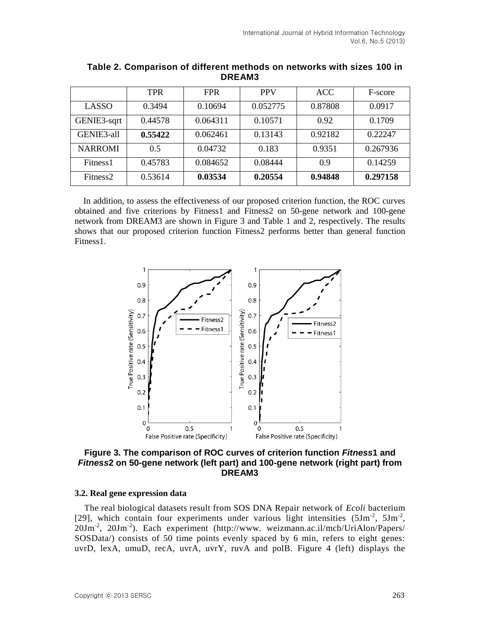|                      | <b>TPR</b> | <b>FPR</b> | <b>PPV</b> | <b>ACC</b> | F-score  |
|----------------------|------------|------------|------------|------------|----------|
| LASSO                | 0.3494     | 0.10694    | 0.052775   | 0.87808    | 0.0917   |
| GENIE3-sqrt          | 0.44578    | 0.064311   | 0.10571    | 0.92       | 0.1709   |
| GENIE3-all           | 0.55422    | 0.062461   | 0.13143    | 0.92182    | 0.22247  |
| <b>NARROMI</b>       | 0.5        | 0.04732    | 0.183      | 0.9351     | 0.267936 |
| Fitness <sub>1</sub> | 0.45783    | 0.084652   | 0.08444    | 0.9        | 0.14259  |
| Fitness <sub>2</sub> | 0.53614    | 0.03534    | 0.20554    | 0.94848    | 0.297158 |

**Table 2. Comparison of different methods on networks with sizes 100 in DREAM3**

In addition, to assess the effectiveness of our proposed criterion function, the ROC curves obtained and five criterions by Fitness1 and Fitness2 on 50-gene network and 100-gene network from DREAM3 are shown in Figure 3 and Table 1 and 2, respectively. The results shows that our proposed criterion function Fitness2 performs better than general function Fitness1.



**Figure 3. The comparison of ROC curves of criterion function** *Fitness***1 and**  *Fitness***2 on 50-gene network (left part) and 100-gene network (right part) from DREAM3**

#### **3.2. Real gene expression data**

The real biological datasets result from SOS DNA Repair network of *Ecoli* bacterium [29], which contain four experiments under various light intensities (5Jm*-*<sup>2</sup> , 5Jm*-*<sup>2</sup> , 20Jm*-*<sup>2</sup> , 20Jm*-*<sup>2</sup> ). Each experiment (http://www. weizmann.ac.il/mcb/UriAlon/Papers/ SOSData/) consists of 50 time points evenly spaced by 6 min, refers to eight genes: uvrD, lexA, umuD, recA, uvrA, uvrY, ruvA and polB. Figure 4 (left) displays the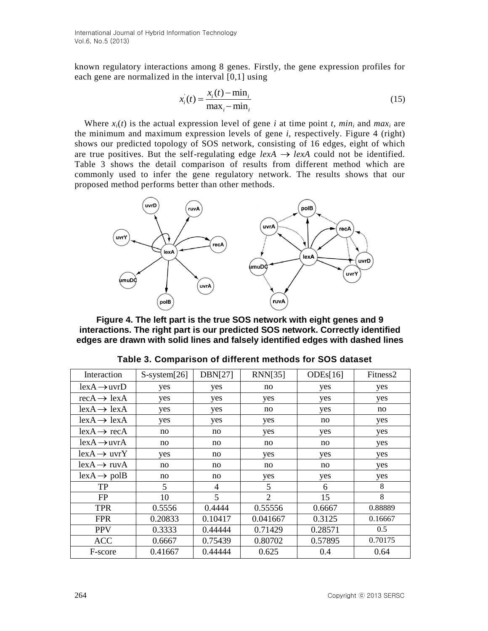International Journal of Hybrid Information Technology Vol.6, No.5 (2013)

known regulatory interactions among 8 genes. Firstly, the gene expression profiles for each gene are normalized in the interval [0,1] using

$$
x_i(t) = \frac{x_i(t) - \min_i}{\max_i - \min_i} \tag{15}
$$

Where  $x_i(t)$  is the actual expression level of gene *i* at time point *t*, *min<sub>i</sub>* and *max<sub>i</sub>* are the minimum and maximum expression levels of gene *i*, respectively. Figure 4 (right) shows our predicted topology of SOS network, consisting of 16 edges, eight of which are true positives. But the self-regulating edge  $lexA \rightarrow lexA$  could not be identified. Table 3 shows the detail comparison of results from different method which are commonly used to infer the gene regulatory network. The results shows that our proposed method performs better than other methods.



**Figure 4. The left part is the true SOS network with eight genes and 9 interactions. The right part is our predicted SOS network. Correctly identified edges are drawn with solid lines and falsely identified edges with dashed lines**

| Interaction               | $S\text{-system}[26]$ | <b>DBN[27]</b> | <b>RNN[35]</b> | ODEs[16] | Fitness <sub>2</sub> |
|---------------------------|-----------------------|----------------|----------------|----------|----------------------|
| $lex A \rightarrow uvrD$  | yes                   | yes            | no             | yes      | yes                  |
| $recA \rightarrow lexA$   | yes                   | yes            | yes            | yes      | yes                  |
| $lex A \rightarrow lex A$ | yes                   | yes            | no             | yes      | no                   |
| $lex A \rightarrow lex A$ | yes                   | yes            | yes            | no       | yes                  |
| $lexA \rightarrow recA$   | no                    | no             | yes            | yes      | yes                  |
| $lex A \rightarrow uvr A$ | no                    | no             | no             | no       | yes                  |
| $lexA \rightarrow uvrY$   | yes                   | no             | yes            | yes      | yes                  |
| $lex A \rightarrow ruv A$ | no                    | no             | no             | no       | yes                  |
| $lex A \rightarrow polB$  | no                    | no             | yes            | yes      | yes                  |
| <b>TP</b>                 | 5                     | 4              | 5              | 6        | 8                    |
| FP                        | 10                    | 5              | $\overline{2}$ | 15       | 8                    |
| <b>TPR</b>                | 0.5556                | 0.4444         | 0.55556        | 0.6667   | 0.88889              |
| <b>FPR</b>                | 0.20833               | 0.10417        | 0.041667       | 0.3125   | 0.16667              |
| <b>PPV</b>                | 0.3333                | 0.44444        | 0.71429        | 0.28571  | 0.5                  |
| <b>ACC</b>                | 0.6667                | 0.75439        | 0.80702        | 0.57895  | 0.70175              |
| F-score                   | 0.41667               | 0.44444        | 0.625          | 0.4      | 0.64                 |

|  | Table 3. Comparison of different methods for SOS dataset |  |  |
|--|----------------------------------------------------------|--|--|
|--|----------------------------------------------------------|--|--|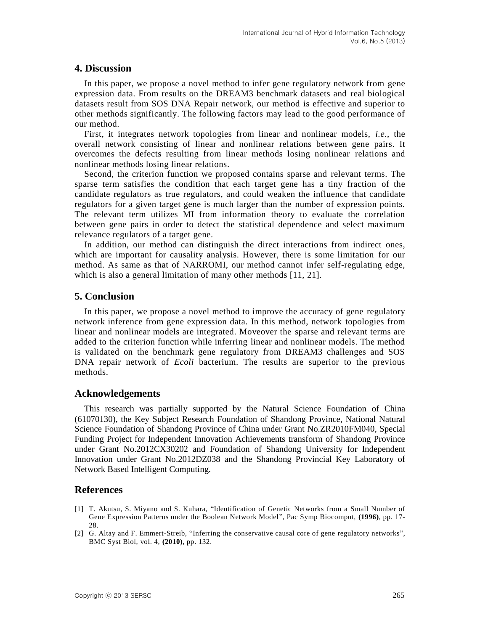## **4. Discussion**

In this paper, we propose a novel method to infer gene regulatory network from gene expression data. From results on the DREAM3 benchmark datasets and real biological datasets result from SOS DNA Repair network, our method is effective and superior to other methods significantly. The following factors may lead to the good performance of our method.

First, it integrates network topologies from linear and nonlinear models, *i.e.*, the overall network consisting of linear and nonlinear relations between gene pairs. It overcomes the defects resulting from linear methods losing nonlinear relations and nonlinear methods losing linear relations.

Second, the criterion function we proposed contains sparse and relevant terms. The sparse term satisfies the condition that each target gene has a tiny fraction of the candidate regulators as true regulators, and could weaken the influence that candidate regulators for a given target gene is much larger than the number of expression points. The relevant term utilizes MI from information theory to evaluate the correlation between gene pairs in order to detect the statistical dependence and select maximum relevance regulators of a target gene.

In addition, our method can distinguish the direct interactions from indirect ones, which are important for causality analysis. However, there is some limitation for our method. As same as that of NARROMI, our method cannot infer self-regulating edge, which is also a general limitation of many other methods [11, 21].

## **5. Conclusion**

In this paper, we propose a novel method to improve the accuracy of gene regulatory network inference from gene expression data. In this method, network topologies from linear and nonlinear models are integrated. Moveover the sparse and relevant terms are added to the criterion function while inferring linear and nonlinear models. The method is validated on the benchmark gene regulatory from DREAM3 challenges and SOS DNA repair network of *Ecoli* bacterium. The results are superior to the previous methods.

## **Acknowledgements**

This research was partially supported by the Natural Science Foundation of China (61070130), the Key Subject Research Foundation of Shandong Province, National Natural Science Foundation of Shandong Province of China under Grant No.ZR2010FM040, Special Funding Project for Independent Innovation Achievements transform of Shandong Province under Grant No.2012CX30202 and Foundation of Shandong University for Independent Innovation under Grant No.2012DZ038 and the Shandong Provincial Key Laboratory of Network Based Intelligent Computing.

## **References**

- [1] T. Akutsu, S. Miyano and S. Kuhara, "Identification of Genetic Networks from a Small Number of Gene Expression Patterns under the Boolean Network Model", Pac Symp Biocomput, **(1996)**, pp. 17- 28.
- [2] G. Altay and F. Emmert-Streib, "Inferring the conservative causal core of gene regulatory networks", BMC Syst Biol, vol. 4, **(2010)**, pp. 132.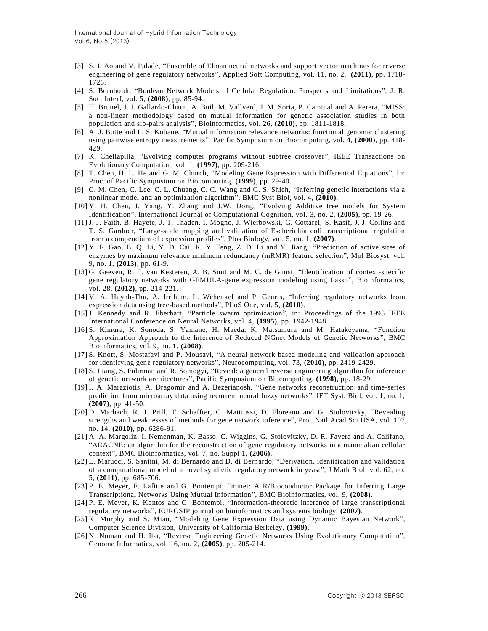- [3] S. I. Ao and V. Palade, "Ensemble of Elman neural networks and support vector machines for reverse engineering of gene regulatory networks", Applied Soft Computing, vol. 11, no. 2, **(2011)**, pp. 1718- 1726.
- [4] S. Bornholdt, "Boolean Network Models of Cellular Regulation: Prospects and Limitations", J. R. Soc. Interf, vol. 5, **(2008)**, pp. 85-94.
- [5] H. Brunel, J. J. Gallardo-Chacn, A. Buil, M. Vallverd, J. M. Soria, P. Caminal and A. Perera, "MISS: a non-linear methodology based on mutual information for genetic association studies in both population and sib-pairs analysis", Bioinformatics, vol. 26, **(2010)**, pp. 1811-1818.
- [6] A. J. Butte and L. S. Kohane, "Mutual information relevance networks: functional genomic clustering using pairwise entropy measurements", Pacific Symposium on Biocomputing, vol. 4, **(2000)**, pp. 418- 429.
- [7] K. Chellapilla, "Evolving computer programs without subtree crossover", IEEE Transactions on Evolutionary Computation, vol. 1, **(1997)**, pp. 209-216.
- [8] T. Chen, H. L. He and G. M. Church, "Modeling Gene Expression with Differential Equations", In: Proc. of Pacific Symposium on Biocomputing, **(1999)**, pp. 29-40.
- [9] C. M. Chen, C. Lee, C. L. Chuang, C. C. Wang and G. S. Shieh, "Inferring genetic interactions via a nonlinear model and an optimization algorithm", BMC Syst Biol, vol. 4, **(2010)**.
- [10] Y. H. Chen, J. Yang, Y. Zhang and J.W. Dong, "Evolving Additive tree models for System Identification", International Journal of Computational Cognition, vol. 3, no. 2, **(2005)**, pp. 19-26.
- [11] J. J. Faith, B. Hayete, J. T. Thaden, I. Mogno, J. Wierbowski, G. Cottarel, S. Kasif, J. J. Collins and T. S. Gardner, "Large-scale mapping and validation of Escherichia coli transcriptional regulation from a compendium of expression profiles", Plos Biology, vol. 5, no. 1, **(2007)**.
- [12] Y. F. Gao, B. Q. Li, Y. D. Cai, K. Y. Feng, Z. D. Li and Y. Jiang, "Prediction of active sites of enzymes by maximum relevance minimum redundancy (mRMR) feature selection", Mol Biosyst, vol. 9, no. 1, **(2013)**, pp. 61-9.
- [13] G. Geeven, R. E. van Kesteren, A. B. Smit and M. C. de Gunst, "Identification of context-specific gene regulatory networks with GEMULA-gene expression modeling using Lasso", Bioinformatics, vol. 28, **(2012)**, pp. 214-221.
- [14] V. A. Huynh-Thu, A. Irrthum, L. Wehenkel and P. Geurts, "Inferring regulatory networks from expression data using tree-based methods", PLoS One, vol. 5, **(2010)**.
- [15] J. Kennedy and R. Eberhart, "Particle swarm optimization", in: Proceedings of the 1995 IEEE International Conference on Neural Networks, vol. 4, **(1995)**, pp. 1942-1948.
- [16] S. Kimura, K. Sonoda, S. Yamane, H. Maeda, K. Matsumura and M. Hatakeyama, "Function Approximation Approach to the Inference of Reduced NGnet Models of Genetic Networks", BMC Bioinformatics, vol. 9, no. 1, **(2008)**.
- [17] S. Knott, S. Mostafavi and P. Mousavi, "A neural network based modeling and validation approach for identifying gene regulatory networks", Neurocomputing, vol. 73, **(2010)**, pp. 2419-2429.
- [18] S. Liang, S. Fuhrman and R. Somogyi, "Reveal: a general reverse engineering algorithm for inference of genetic network architectures", Pacific Symposium on Biocomputing, **(1998)**, pp. 18-29.
- [19] I. A. Maraziotis, A. Dragomir and A. Bezerianosh, "Gene networks reconstruction and time-series prediction from microarray data using recurrent neural fuzzy networks", IET Syst. Biol, vol. 1, no. 1, **(2007)**, pp. 41-50.
- [20] D. Marbach, R. J. Prill, T. Schaffter, C. Mattiussi, D. Floreano and G. Stolovitzky, "Revealing strengths and weaknesses of methods for gene network inference", Proc Natl Acad Sci USA, vol. 107, no. 14, **(2010)**, pp. 6286-91.
- [21] A. A. Margolin, I. Nemenman, K. Basso, C. Wiggins, G. Stolovitzky, D. R. Favera and A. Califano, "ARACNE: an algorithm for the reconstruction of gene regulatory networks in a mammalian cellular context", BMC Bioinformatics, vol. 7, no. Suppl 1, **(2006)**.
- [22] L. Marucci, S. Santini, M. di Bernardo and D. di Bernardo, "Derivation, identification and validation of a computational model of a novel synthetic regulatory network in yeast", J Math Biol, vol. 62, no. 5, **(2011)**, pp. 685-706.
- [23] P. E. Meyer, F. Lafitte and G. Bontempi, "minet: A R/Bioconductor Package for Inferring Large Transcriptional Networks Using Mutual Information", BMC Bioinformatics, vol. 9, **(2008)**.
- [24] P. E. Meyer, K. Kontos and G. Bontempi, "Information-theoretic inference of large transcriptional regulatory networks", EUROSIP journal on bioinformatics and systems biology, **(2007)**.
- [25] K. Murphy and S. Mian, "Modeling Gene Expression Data using Dynamic Bayesian Network", Computer Science Division, University of California Berkeley, **(1999)**.
- [26] N. Noman and H. Iba, "Reverse Engineering Genetic Networks Using Evolutionary Computation", Genome Informatics, vol. 16, no. 2, **(2005)**, pp. 205-214.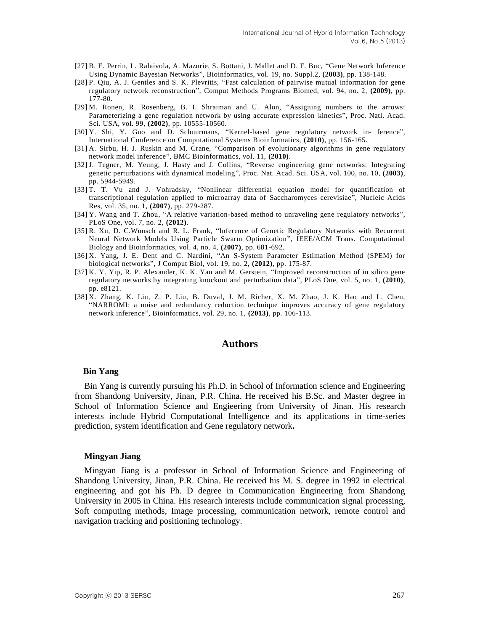- [27] B. E. Perrin, L. Ralaivola, A. Mazurie, S. Bottani, J. Mallet and D. F. Buc, "Gene Network Inference Using Dynamic Bayesian Networks", Bioinformatics, vol. 19, no. Suppl.2, **(2003)**, pp. 138-148.
- [28] P. Qiu, A. J. Gentles and S. K. Plevritis, "Fast calculation of pairwise mutual information for gene regulatory network reconstruction", Comput Methods Programs Biomed, vol. 94, no. 2, **(2009)**, pp. 177-80.
- [29] M. Ronen, R. Rosenberg, B. I. Shraiman and U. Alon, "Assigning numbers to the arrows: Parameterizing a gene regulation network by using accurate expression kinetics", Proc. Natl. Acad. Sci. USA, vol. 99, **(2002)**, pp. 10555-10560.
- [30] Y. Shi, Y. Guo and D. Schuurmans, "Kernel-based gene regulatory network in- ference", International Conference on Computational Systems Bioinformatics, **(2010)**, pp. 156-165.
- [31] A. Sirbu, H. J. Ruskin and M. Crane, "Comparison of evolutionary algorithms in gene regulatory network model inference", BMC Bioinformatics, vol. 11, **(2010)**.
- [32] J. Tegner, M. Yeung, J. Hasty and J. Collins, "Reverse engineering gene networks: Integrating genetic perturbations with dynamical modeling", Proc. Nat. Acad. Sci. USA, vol. 100, no. 10, **(2003)**, pp. 5944-5949.
- [33] T. T. Vu and J. Vohradsky, "Nonlinear differential equation model for quantification of transcriptional regulation applied to microarray data of Saccharomyces cerevisiae", Nucleic Acids Res, vol. 35, no. 1, **(2007)**, pp. 279-287.
- [34] Y. Wang and T. Zhou, "A relative variation-based method to unraveling gene regulatory networks", PLoS One, vol. 7, no. 2, **(2012)**.
- [35] R. Xu, D. C.Wunsch and R. L. Frank, "Inference of Genetic Regulatory Networks with Recurrent Neural Network Models Using Particle Swarm Optimization", IEEE/ACM Trans. Computational Biology and Bioinformatics, vol. 4, no. 4, **(2007)**, pp. 681-692.
- [36] X. Yang, J. E. Dent and C. Nardini, "An S-System Parameter Estimation Method (SPEM) for biological networks", J Comput Biol, vol. 19, no. 2, **(2012)**, pp. 175-87.
- [37] K. Y. Yip, R. P. Alexander, K. K. Yan and M. Gerstein, "Improved reconstruction of in silico gene regulatory networks by integrating knockout and perturbation data", PLoS One, vol. 5, no. 1, **(2010)**, pp. e8121.
- [38] X. Zhang, K. Liu, Z. P. Liu, B. Duval, J. M. Richer, X. M. Zhao, J. K. Hao and L. Chen, "NARROMI: a noise and redundancy reduction technique improves accuracy of gene regulatory network inference", Bioinformatics, vol. 29, no. 1, **(2013)**, pp. 106-113.

## **Authors**

#### **Bin Yang**

Bin Yang is currently pursuing his Ph.D. in School of Information science and Engineering from Shandong University, Jinan, P.R. China. He received his B.Sc. and Master degree in School of Information Science and Engieering from University of Jinan. His research interests include Hybrid Computational Intelligence and its applications in time-series prediction, system identification and Gene regulatory network**.**

#### **Mingyan Jiang**

Mingyan Jiang is a professor in School of Information Science and Engineering of Shandong University, Jinan, P.R. China. He received his M. S. degree in 1992 in electrical engineering and got his Ph. D degree in Communication Engineering from Shandong University in 2005 in China. His research interests include communication signal processing, Soft computing methods, Image processing, communication network, remote control and navigation tracking and positioning technology.